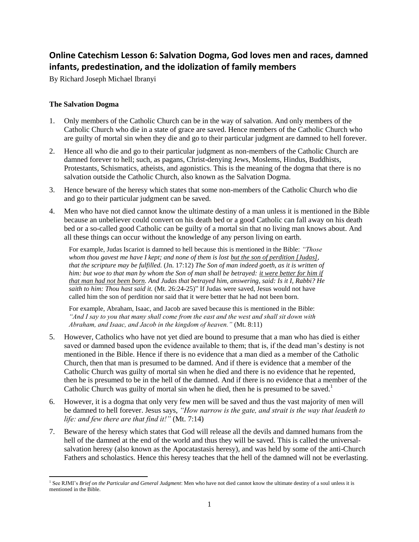# **Online Catechism Lesson 6: Salvation Dogma, God loves men and races, damned infants, predestination, and the idolization of family members**

By Richard Joseph Michael Ibranyi

## **The Salvation Dogma**

- 1. Only members of the Catholic Church can be in the way of salvation. And only members of the Catholic Church who die in a state of grace are saved. Hence members of the Catholic Church who are guilty of mortal sin when they die and go to their particular judgment are damned to hell forever.
- 2. Hence all who die and go to their particular judgment as non-members of the Catholic Church are damned forever to hell; such, as pagans, Christ-denying Jews, Moslems, Hindus, Buddhists, Protestants, Schismatics, atheists, and agonistics. This is the meaning of the dogma that there is no salvation outside the Catholic Church, also known as the Salvation Dogma.
- 3. Hence beware of the heresy which states that some non-members of the Catholic Church who die and go to their particular judgment can be saved.
- 4. Men who have not died cannot know the ultimate destiny of a man unless it is mentioned in the Bible because an unbeliever could convert on his death bed or a good Catholic can fall away on his death bed or a so-called good Catholic can be guilty of a mortal sin that no living man knows about. And all these things can occur without the knowledge of any person living on earth.

For example, Judas Iscariot is damned to hell because this is mentioned in the Bible: *"Those whom thou gavest me have I kept; and none of them is lost but the son of perdition [Judas], that the scripture may be fulfilled.* (Jn. 17:12) *The Son of man indeed goeth, as it is written of him: but woe to that man by whom the Son of man shall be betrayed: it were better for him if that man had not been born. And Judas that betrayed him, answering, said: Is it I, Rabbi? He saith to him: Thou hast said it.* (Mt. 26:24-25)" If Judas were saved, Jesus would not have called him the son of perdition nor said that it were better that he had not been born.

For example, Abraham, Isaac, and Jacob are saved because this is mentioned in the Bible: *"And I say to you that many shall come from the east and the west and shall sit down with Abraham, and Isaac, and Jacob in the kingdom of heaven."* (Mt. 8:11)

- 5. However, Catholics who have not yet died are bound to presume that a man who has died is either saved or damned based upon the evidence available to them; that is, if the dead man's destiny is not mentioned in the Bible. Hence if there is no evidence that a man died as a member of the Catholic Church, then that man is presumed to be damned. And if there is evidence that a member of the Catholic Church was guilty of mortal sin when he died and there is no evidence that he repented, then he is presumed to be in the hell of the damned. And if there is no evidence that a member of the Catholic Church was guilty of mortal sin when he died, then he is presumed to be saved.<sup>1</sup>
- 6. However, it is a dogma that only very few men will be saved and thus the vast majority of men will be damned to hell forever. Jesus says, *"How narrow is the gate, and strait is the way that leadeth to life: and few there are that find it!"* (Mt. 7:14)
- 7. Beware of the heresy which states that God will release all the devils and damned humans from the hell of the damned at the end of the world and thus they will be saved. This is called the universalsalvation heresy (also known as the Apocatastasis heresy), and was held by some of the anti-Church Fathers and scholastics. Hence this heresy teaches that the hell of the damned will not be everlasting.

l <sup>1</sup> See RJMI's *Brief on the Particular and General Judgment*: Men who have not died cannot know the ultimate destiny of a soul unless it is mentioned in the Bible.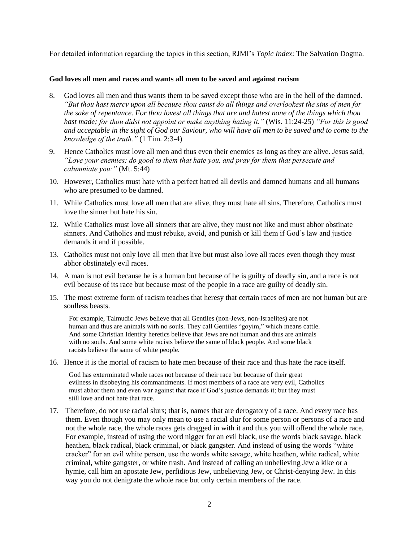For detailed information regarding the topics in this section, RJMI's *Topic Index*: The Salvation Dogma.

#### **God loves all men and races and wants all men to be saved and against racism**

- 8. God loves all men and thus wants them to be saved except those who are in the hell of the damned. *"But thou hast mercy upon all because thou canst do all things and overlookest the sins of men for the sake of repentance. For thou lovest all things that are and hatest none of the things which thou hast made; for thou didst not appoint or make anything hating it."* (Wis. 11:24-25) *"For this is good and acceptable in the sight of God our Saviour, who will have all men to be saved and to come to the knowledge of the truth."* (1 Tim. 2:3-4)
- 9. Hence Catholics must love all men and thus even their enemies as long as they are alive. Jesus said, *"Love your enemies; do good to them that hate you, and pray for them that persecute and calumniate you:"* (Mt. 5:44)
- 10. However, Catholics must hate with a perfect hatred all devils and damned humans and all humans who are presumed to be damned.
- 11. While Catholics must love all men that are alive, they must hate all sins. Therefore, Catholics must love the sinner but hate his sin.
- 12. While Catholics must love all sinners that are alive, they must not like and must abhor obstinate sinners. And Catholics and must rebuke, avoid, and punish or kill them if God's law and justice demands it and if possible.
- 13. Catholics must not only love all men that live but must also love all races even though they must abhor obstinately evil races.
- 14. A man is not evil because he is a human but because of he is guilty of deadly sin, and a race is not evil because of its race but because most of the people in a race are guilty of deadly sin.
- 15. The most extreme form of racism teaches that heresy that certain races of men are not human but are soulless beasts.

For example, Talmudic Jews believe that all Gentiles (non-Jews, non-Israelites) are not human and thus are animals with no souls. They call Gentiles "goyim," which means cattle. And some Christian Identity heretics believe that Jews are not human and thus are animals with no souls. And some white racists believe the same of black people. And some black racists believe the same of white people.

16. Hence it is the mortal of racism to hate men because of their race and thus hate the race itself.

God has exterminated whole races not because of their race but because of their great evilness in disobeying his commandments. If most members of a race are very evil, Catholics must abhor them and even war against that race if God's justice demands it; but they must still love and not hate that race.

17. Therefore, do not use racial slurs; that is, names that are derogatory of a race. And every race has them. Even though you may only mean to use a racial slur for some person or persons of a race and not the whole race, the whole races gets dragged in with it and thus you will offend the whole race. For example, instead of using the word nigger for an evil black, use the words black savage, black heathen, black radical, black criminal, or black gangster. And instead of using the words "white cracker" for an evil white person, use the words white savage, white heathen, white radical, white criminal, white gangster, or white trash. And instead of calling an unbelieving Jew a kike or a hymie, call him an apostate Jew, perfidious Jew, unbelieving Jew, or Christ-denying Jew. In this way you do not denigrate the whole race but only certain members of the race.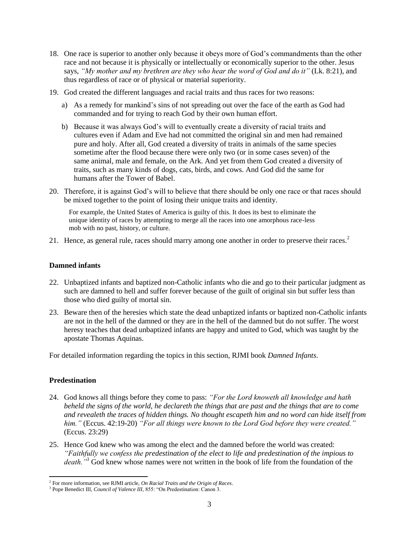- 18. One race is superior to another only because it obeys more of God's commandments than the other race and not because it is physically or intellectually or economically superior to the other. Jesus says, *"My mother and my brethren are they who hear the word of God and do it"* (Lk. 8:21), and thus regardless of race or of physical or material superiority.
- 19. God created the different languages and racial traits and thus races for two reasons:
	- a) As a remedy for mankind's sins of not spreading out over the face of the earth as God had commanded and for trying to reach God by their own human effort.
	- b) Because it was always God's will to eventually create a diversity of racial traits and cultures even if Adam and Eve had not committed the original sin and men had remained pure and holy. After all, God created a diversity of traits in animals of the same species sometime after the flood because there were only two (or in some cases seven) of the same animal, male and female, on the Ark. And yet from them God created a diversity of traits, such as many kinds of dogs, cats, birds, and cows. And God did the same for humans after the Tower of Babel.
- 20. Therefore, it is against God's will to believe that there should be only one race or that races should be mixed together to the point of losing their unique traits and identity.

For example, the United States of America is guilty of this. It does its best to eliminate the unique identity of races by attempting to merge all the races into one amorphous race-less mob with no past, history, or culture.

21. Hence, as general rule, races should marry among one another in order to preserve their races.<sup>2</sup>

#### **Damned infants**

- 22. Unbaptized infants and baptized non-Catholic infants who die and go to their particular judgment as such are damned to hell and suffer forever because of the guilt of original sin but suffer less than those who died guilty of mortal sin.
- 23. Beware then of the heresies which state the dead unbaptized infants or baptized non-Catholic infants are not in the hell of the damned or they are in the hell of the damned but do not suffer. The worst heresy teaches that dead unbaptized infants are happy and united to God, which was taught by the apostate Thomas Aquinas.

For detailed information regarding the topics in this section, RJMI book *Damned Infants*.

### **Predestination**

l

- 24. God knows all things before they come to pass: *"For the Lord knoweth all knowledge and hath beheld the signs of the world, he declareth the things that are past and the things that are to come and revealeth the traces of hidden things. No thought escapeth him and no word can hide itself from him."* (Eccus. 42:19-20) *"For all things were known to the Lord God before they were created."* (Eccus. 23:29)
- 25. Hence God knew who was among the elect and the damned before the world was created: *"Faithfully we confess the predestination of the elect to life and predestination of the impious to death."*<sup>3</sup> God knew whose names were not written in the book of life from the foundation of the

<sup>2</sup> For more information, see RJMI article, *On Racial Traits and the Origin of Races*.

<sup>&</sup>lt;sup>3</sup> Pope Benedict III, *Council of Valence III*, 855: "On Predestination: Canon 3.